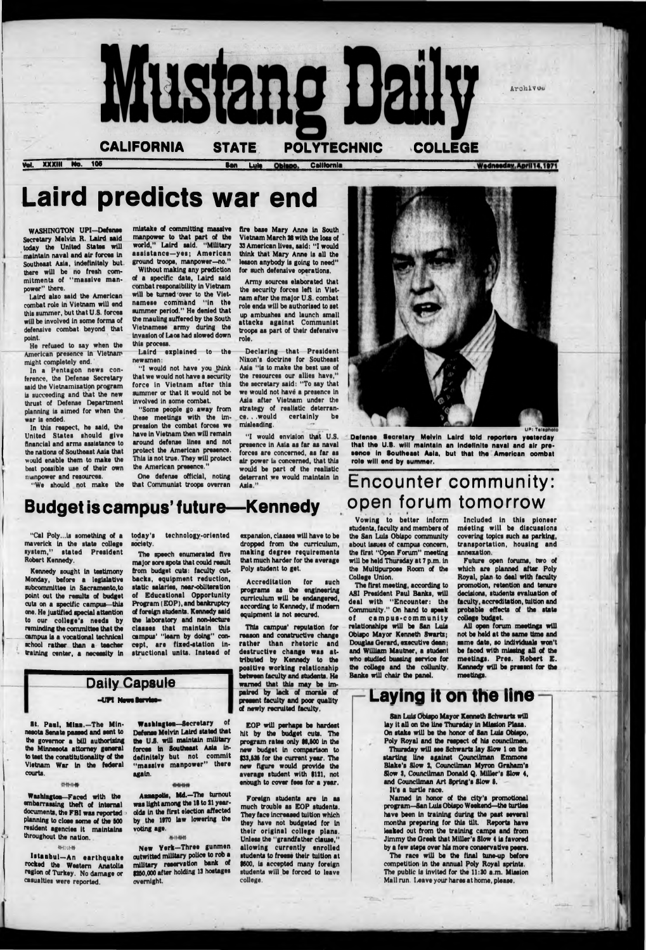CALIFORNIA STATE POLYTECHNIC COLLEGE

XXXIII No. 106 **Ban Luis Obispo, California** 

**Rustang Ball** 

# Wednesday, April 14, 1971

**Archives** 

# Laird predicts war end

WASHINGTON UPI—Defense Secretary Melvin R. Laird said today the United States will maintain naval and air forces In Southeast Asia, indefinitely but. there will be no fresh commitments of " massive manpower" there.

Laird also said the American combat role in Vietnam will end this summer, but that U.S. forces will be involved in some forms of defensive combat beyond that point.

He refused to say when the American presence In Vietnam might completely end.

In a Pentagon news conference, the Defense Secretary said the Vietnamisation program is succeeding and that the new thrust of Defense Department planning is aimed for when the war is ended.

"I would not have you think that we would not have a security force in Vietnam after this summer or that it would not be involved in some combat.

In this respect, he said, the United States should give financial and arms assistance to the nations of Southeast Asia that would enable them to make the beat possible use of their own manpower and resources.

"We should not make the

mistake of committing massive

fire base Mary Anne in South Vietnam March 28 with the loss of S3 American lives, said; "I would think that Mary Anne is all the lesson anybody is going to need" for such defensive operations.

manpower to that part of the world," Laird said. "Military assistance-yes; American ground troops, manpower-no." Without making any prediction of a specific date, laird said combat responsibility in Vietnam will be turned'over to the Vietnamese command "in the summer period." He denied that the mauling suffered by the South Vietnamese army during the

> "I would envision that U.S. presence In Asia as far as naval forces are concerned, as far as air power is concerned, that this would be part of the realistic deterrant we would maintain in Asia."

invasion of Laos had slowed down

this process. Laird explained to the newsmen:

> Defense Secretary Melvin Laird told reporters yesterday that the U.S. will maintain an Indefinite naval and air presence in Southeast Asia, but that the American combat role will end by summer.

# **Budget is campus' future—Kennedy**

"Some people go away from these meetings with the Impression the combat forces we have in Vietnam then will remain around defense lines and not protect the American presence. This is not true. They will protect the American presence."

One defense official, noting that Communist troops overran

Army sources elaborated that the security forces left In Vietnam after the major U.S. combat role ends will be authorised to set up ambushes and launch small attacks against Communist troops as part of their defensive role.

Declaring that President Nixon's doctrine for Southeast Asia "is to make the best use of the resources our allies have," the secretary said: "To say that we would not have a presence In Asia after Vietnam under the strategy of realistic deterrance...would certainly be misleading.



Istanbul—An earthquake rocked the Western Anatolia region of Turkey. No damage or casualties were reported.

"Cal Poly...is something of a maverick in the state college system," stated President Robert Kennedy.

Kennedy sought In testimony Monday, before a legislative subcommittee In Sacramento,to point out the results of budget cuts on a specific campus—this one. He Justified special attention to our college's needs by reminding the committee that the campus Is a vocational technical school rather than a teacher

> **New Yerk-Three gunmen** outwitted military police to rob a military reservation bank of 1280,000 after holding 13 hostages overnight.

today's technology-oriented society.

> Foreign students are in as much trouble as EOP students. They face Increased tuition which they have not budgeted for In their original college plans. Unless the "grandfather clause," allowing currently enrolled students to freeze their tuition at \$600, Is accepted many foreign students will be forced to leave college.

# $\frac{1}{2}$ -UPI News Service-<br> $\frac{1}{2}$ -UPI News Service-<br> $\frac{1}{2}$

The speech enumerated five major sore spots that could result from budget cuts: faculty cutbacks, equipment reduction, static salaries, near-obliteration of Educational Opportunity Program (EOP), and bankruptcy of foreign students. Kennedy said the laboratory and non-lecture classes that maintain this campus' "learn by doing" concept, aro fixed-station in-

> The race will be the final tune-up before competition in the annual Poly Royal sprints. The public is invited for the 11:30 a.m. Mission Mall run. Leave your hares at home, please.

expansion, claiaea will have to be dropped from the curriculum, making degree requirements that much harder for the average Poly student to get.

Accreditation for such programs as the engineering curriculum will be endangered, according to Kennedy, if modem equipment is not secured.

This campus' reputation for reason and constructive change rather than rhetoric and destructive change was attributed by Kennedy to the positive working relationship between faculty and students. He warned that this may be impaired by lack of morale of present faculty and poor quality of newly recruited faculty,

Vowing to bettor inform students, faculty and members of the San Luis Obispo community about Issues of campus concern, the first "Open Forum" meeting will be held Thursday at 7 p.m. in the Multipurpose Room of the College Union.

The first meeting, according to ASI President Paul Banks, will deal with "Encounter: the Community." On hand to speak of campus-community relationships will be San Luis Obispo Mayor Kenneth Swarti; Douglas Oerard, executive dean; and William Mautner, a student who studied bussing service for the collage and the collunlty. Banks will chair the panel.

Included in this pioneer meeting will be discussions covering topics such as parking, transportation, housing and annexation.

Future open forums, two of which are planned after Poly Royal, plan to deal with faculty promotion, retention and tenure decisions, students evaluation of faculty, accreditation, tuition and probable effects of the state college budget.

All open forum meetings will not be held at the same time and same date, so individuals won't be faced with missing all of the meetings, Pres. Robert E. Kennedy will be present for the meetings.

training center, a necessity in structional units. Instead of

8t. Paul, Mian.—The Minnesota Senate passed and sent to the governor a bill authorising the Minnesota attorney general to test the constitutionality of the Vietnam War In the federal courts.

#### 特性传播

Washington—Faced with the embarrassing theft of Internal documents, the FBI was reported planning to dose some of the BOO resident agencies It maintains throughout the nation.

#### <h:;h»

 $\mathbf{e}$  is

Washing ten—Secretary of Defense Melvin Laird stated that the UJ5. will maintain military forces In Southeast Asia Indefinitely but not commit "massive manpower" there again.

#### 4141414

Annapolis, Md.-The turnout was light among the II to 21 yearolds In the first election affected by the 1970 law lowering the voting age.

#### 36-16-80-00

EOP will perhaps be hardest hit by the budget cuts. The program rates only \$6,500 in the new budget In comparison to \$33,835 for the current year. The new figure would provide the average student with \$121, not enough to cover fees for a year.

San Luis Obispo Mayor Kenneth Schwarts will lay it all on the line Thursday in Mission Plata. On stake will be the honor of San Luis Obispo, Poly Royal and the respect of his councilmen. Thursday will see Schwarts lay Slow 1 on the starting line against Councilman Emmons Blake's Slow 2, Councilman Myron Graham's Slow 3. Councilman Donald Q. Miller's Slow 4, and Councilman Art Spring's Slow I.

### It's a turtle race.

Named in honor of the city's promotional program—San Luis Obispo Weekend—the turtles have been in training during the past several months preparing for this tilt. Reports have leaked out from the training camps and from Jimmy the Greek that Miller's Slow 4 is favored by a few steps over his more conservative peers.

# Encounter community: open forum tomorrow

# Daily Capsule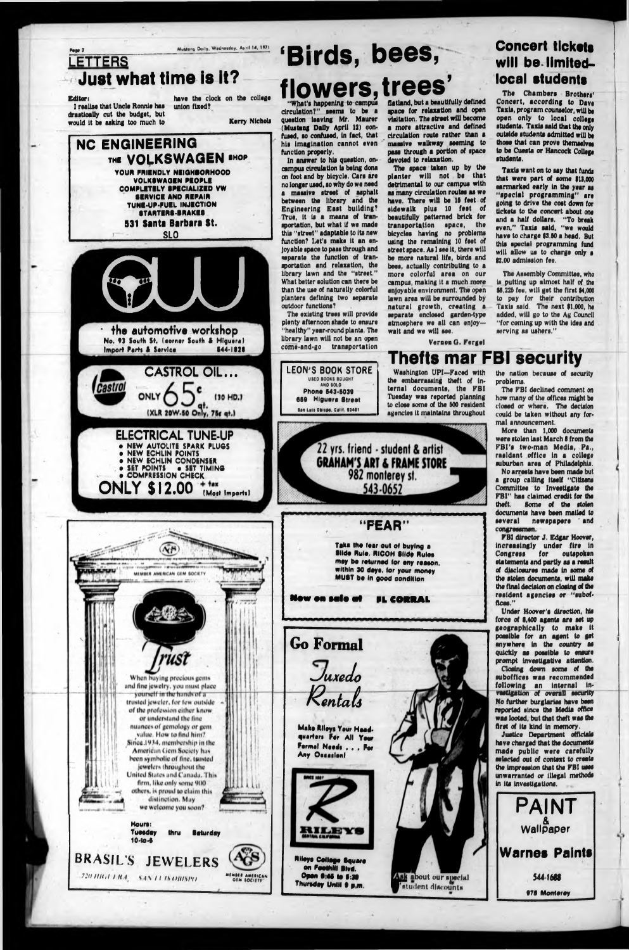Hours: Tuesday thru Saturday 10-to-i

# BRASIL'S JEWELERS

?.' >/ *l/ H il* / *H.t s i \ 11 IS IH IIS I'll*

#### *Hw 1* Muttony Doily Wtdnotduy. A|iill 14, 1971 'Birds, bees, **LETTERS** Just what time is it? flowers, trees' **Editor:** have the clock on the college<br>I realize that Uncle Ronnie has union fixed? "What's happening to campus flatland, but a beautifully defined I realize that Uncle Ronnie has mace for relaxation and open circulation?" seems to be a drastically cut the budget, but visitation. The street will become question leaving Mr. Maurer would it be asking too much to Kerry Nichols a more attractive and defined (Mustang Dally April 12) confused, ao confused, In fact, that circulation route rather than a NC ENGINEERING his imagination cannot even massive walkway aseming to pass through a portion of apace function properly. THE VOLKSWAGEN SHOP devoted to relaxation. In answer to hla question, on-The apace taken up by tha campus circulation is being dona YOUR FRIENDLY NEIGHBORHOOD plantar will not ba that on foot and by bicycle. Cara are VOLKSWAGEN PEOPLE detrimental to our campus with no longer used, ao why do we need COMPLETELY SPECIALIZED VW as many circulation routes as we a massive street of asphalt SERVICE AND REPAIR have. There will be 15 feet of between the library and the TUNE-UP-FUEL INJECTION Engineering East building? sidewalk plus 10 feat of STARTERS-BRAKES True, It Is a means of tranbeautifully patterned brick for 531 Santa Barbara St. sportation, but what If we made transportation space, the this "street" adaptable to Its new bicyclaa having no problems SLO<br>
Cut Tut<br>
the automotive workshop **r~ SLO\_\_\_\_\_\_\_\_\_\_\_\_\_\_** function? Let's make It an enusing the remaining 10 fact of street space. As I see It, there will joyable space to pass through and separate the function of tranbe more natural life, birds and sportation and relaxation, the bees, actually contributing to a library lawn and the "street." more colorful area on our What better solution can there be campus, making It a much more than the use of naturally colorful enjoyable environment. The open planters defining two separate lawn area will be surrounded by outdoor functions? natural growth, creating a The existing trees will provide separate enclosed garden-type plenty afternoon shade to ensure atmoaphere we all can enjoy the automotive workshop "healthy" year-round plants. The wait and we will see. library lawn will not be an open No. 93 South St. (corner South S Hlgutre) come-and-go transportation Import Parts & Service **CASTROL OIL... LEON'S BOOK STORE** USED BOOKS BOUGHT **Castrol** AND SOLD ONLY Phone 643-6039 (30 HD.) 666 Hlguere Street **Ian LhIi OkliH. Call) IS**401 (XLR 20W-50 Only, 75c qt.) **ELECTRICAL TUNE-UP** 22 yrs. friend - student & artist **o NEW AUTOLITE SPARK PLUGS o NEW ECHLIN POINTS GRAHAM'S ART & FRAME STORE**

# Concert tickets will be limitedlocal students The Chambers Brothers'

the nation because of security problems. The FBI declined comment on

how many of the offices might be closed or where. The decision could be taken without any formal announcement.





Under Hoover's direction, his force of 8,400 agents are set up geographically to maka It possible for an agent to get anywhere In the country as quickly as possible to ensure prompt Investigative attention. Closing down some of the suboffices was recommended following an internal investigation of overall security No further burglaries have been reported since the Madia offlca was looted, but that theft was the first of Its kind In memory. Justice Department officials havs charged that tha documents made public were carefully selected out of context to create the impression that the FBI uses unwarranted or illegal methods in its investigations.

VernonG. Fergsl

# Thefts mar FBI security

Concart, according to Dave Taxis, program counselor, will be open only to local college students. Taxis said that tha only outslds students admitted will be those that can prove themselves to be Cuasta or Hancock Collage students.

> , 4 **W allpaper**

> > 544-1668

978 Monterey

Taxis want on to say that funds that were part of some \$13,000 earmarked early In tha yaar as "special programming" are going to drive tha cost down for tickets to tha concert about one and a half dollars. "To break even," Taxis said, "we would have to charge \$3.60 a head. But this special programming fund will allow us to charge only a \$2.00 admission fee.

The Assembly Committee, who Is putting up almost half of the \$8,226 fee, will get the first \$4,000 to pay for their contribution Taxis said. The next \$1,000, he added, will go to the Ag Council "for coming up with the Ides and serving as ushers."

Washington UPI—Faced with the embarrassing theft of Internal documents, the FBI Tuesday was reported planning to close some of the 600 resident agencies It maintains throughout

"FEAR"

543-0652

More than 1,000 documents were stolen last March 8 from the FBI'a two-man Madia, Pa., raaldant offlca In a collage suburban area of Philadelphia.

No arresta have been made but a group calling itaalf "Citlzans Committee to Investigate the FBI" has claimed credit for the<br>theft. Some of the stolen Some of the stolen documents have been mailed to several newspapere and congressmen.



FBI director J. Edgar Hoover, Increasingly undar firs In Congress for outspoken statements and partly as a result of disclosures made In some of the stolen documents, will maka the final decision on closing of the resident agencies or "suboffleas."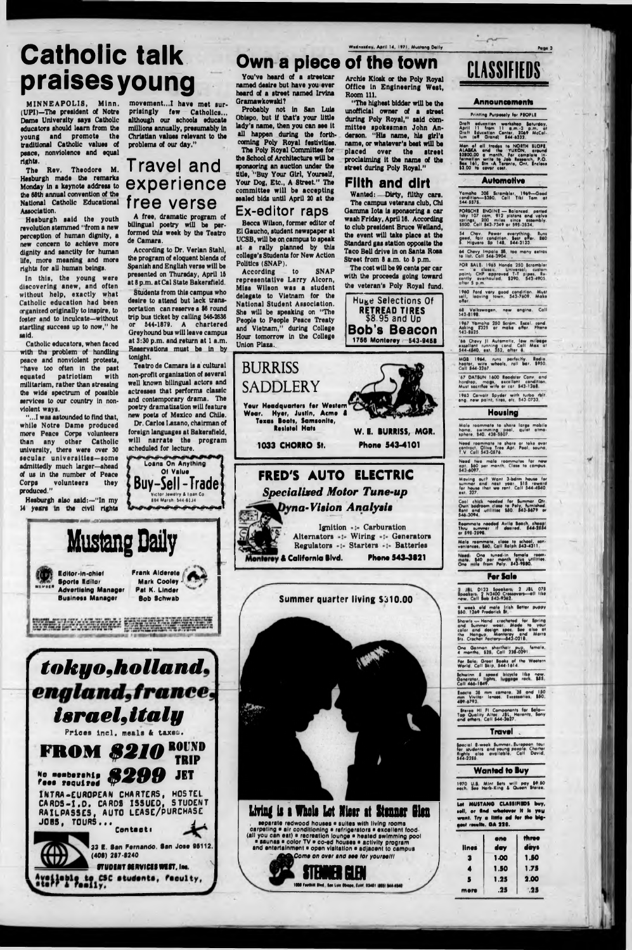# Catholic talk praisesyoung

MINNEAPOLIS, Minn. (UPI)—The president of Notre Dame University says Catholic educators should learn from the young and promote the traditional Catholic values of peace, nonviolence and equal rights.

The Rev. Theodore M. Hesburgh made the remarks Monday In a keynote address to the 68th annual convention of the National Catholic Educational Association.

Hesburgh said the youth revolution stemmed "from a new perception of human dignity, a new concern to achieve more dignity and sanctity for human life, more meaning and more rights for all human beings.

In this, the young were discovering anew, and often without help, exactly what Catholic education had been organized originally to inspire, to foster and to Inculcate—without startling success up to now," he said.

Catholic educators, when faced with the problem of handling peace and nonviolent protests, "have too often in the past equated patriotism with militarism, rather than stressing the wide spectrum of possible services to our country in nonviolent ways.

"...I was astounded to find that, while Notre Dame produced more Peace Corps volunteers than any other Catholic university, there were over 30 secular universities-some admittedly much larger—ahead of us in the number of Peace<br>Corps **volunteers** they volunteers they produced."

Hesburgh also said:—"In my M years In the civil rights

movement...I have met surprisingly few Catholics... although our schools educate millions annually, presumably In Christian values relevant to the problems of our day."

# Travel and experience free verse

A free, dramatic program of bilingual poetry will be performed this week by the Teatro de Camara.

According to Dr. Verlan Stahl, the program of eloquent blends of Spanish and English verse will be presented on Thursday, April 16 at 8 p.m. at Cal State Bakersfield.

Probably not in San Luis Obispo, but If that's your little lady's name, then you can see It all happen during the forthcoming Poly Royal festivities. The Poly Royal Committee for the School of Architecture will be sponsoring an auction undar the title, "Buy Your Girl, Yourself,

Your Dog, Etc., A Street." The committee will be accepting sealed bids until April 20 at the

Students from this campus who desire to attend but lack transportation can reserve a \$6 round trip bus ticket by calling 546-2636 or 544-1879. A chartered Greyhound bus will leave campus at 3:30 p.m. and return at 1 a.m. Reservations must be In by tonight.

According to SNAP representative Larry Alcorn, Mlsa Wilson was a student delegate to Vietnam for the National Student Association. She will be speaking on "The People to People Peace Treaty and Vietnam," during College Hour tomorrow In the College Union Plaza.

"The higheat bidder will be the unofficial owner of a street during Poly Royal," said committee spokesman John Anderson. "His name, his girl's name, or whatever's best will be placed over the street proclaiming it the name of the street during Poly Royal."

Teatro de Camara Is a cultural non-profit organization of several well known bilingual actors and actresses that performs classic and contemporary drama. The poetry dramatization will feature new poets of Mexico and Chile.

Dr. Carlos I.azano, chairman of foreign languages at Bakersfield, will narrate the program scheduled for lecture.

Loans On Anything Buy -Sell-Trade 01 Value Victor Jewelry & Loan Co. 894 Marsh 544-61J4

**Huge Selections Of RETREAD TIRES \$8.95 and Ud** Bob's Beacon

# Own a piece of the town







You've heard of a streetcar named deaire but have you ever heard of a street named Irvine Gramawkoweki?

## **E x-editor raps**

Becca Wilson, former editor of El Gaucho, student newspaper at UCSB, will be on campus to speak at a rally planned by this college's Students for New Action Polities (SNAP).

Archie Kiosk or the Poly Royal Office In Engineering West,

Room 111.

Filth and dirt Wanted: Dirty, filthy cere. The campus veterans club, Chi Gamma Iota la sponsoring a car wash Friday, April 16. According to club president Bruce Welland, the event will take place at the Standard gas station opposite the Taco Bell drive In on Santa Rosa Street from 8 a.m. to 8 p.m. The cost will be 99 cents per car with the proceeds going toward the veteran's Poly Royal fund.



Regulators -:- Starters -:- Batteries Monterey & California Blvd. Phone 543-3821

**Summer quarter living S310.00**



One German shorthoir pup, female,<br>4 months, 525 Call 236-0291.

Far Sale: Graot Books of the Weetern<br>World, Call Skip, 544-1614.

Schwinn & speed bicycle like now-<br>Generator, lights, luggage rack \$55.<br>Call 466-1849.

Execta 35 mm camera 35 and 1.50<br>mm Vivitar loneet. Exceterras \$50.<br>409-6793

- Stereo HI FI Components for Bale—<br>Top Quality Altoc. JBL, Harontz, Sony<br>and others: Call \$44-2627.



### **Announcements**

## **Printing Purposely for PEOPLE**

Draft sducation workshop Saturday,<br>April 11 from 11 a.m..-3 p.m. at<br>Draft Education Centor, 2069 McCol-<br>lum (off Grand) 544-6332

Man of all trades to NORTH SLOPE.<br>ALASKA and the YUKON, around S200.00 a month. For complete In-<br>formation write to Job Research P.O.<br>Ba.00 fa cover coot.<br>S3.00 fa cover coot.

### **Automotive**

Yamaha 306 Scrambler, 1969—Good<br>condition—\$350 Call Tiki Tom at<br>544-5575

PORICHI INOINt — Balanced, ported laky 107 cam, 912 plitom and valve •prlng\* 200 milee ilnce aieembly. 5500 Call 543-7349 or 595-2534

34 Chav Power everything Rum ? ood, fair condition. Sett offer. 660 ■ Hlguero 3p 141, 344-3133.

é4 Chevy Impala **35, lee many extra**s<br>te list. Call 54**6-3904**.

FOR SALE: 1965 Honda 250 Scrombler<br>— "o classic." Universal, custom<br>paint, CHP approved T-T pipes, Re-<br>cently overhauled. \$290, 543-4903,<br>alter 5 p.m.

1960 Ford vary good condition. Must<br>sell, leaving town. 543-7609. Make<br>offer.

\*1 Volkiwagen, new angina. Coll 343-SI VS.

1967 Yamaha 250 Scram, Excel, cond.<br>Asking \$325 or maka offar. Phone<br>543-8525.

66 Chevy Jl Automatic, low mileage excellent running cond Call Max at 344-4540, ext 152, attar «

MGB 1964, runs perfectly. Radio,<br>heater, wire wheels, roll bar. \$950.<br>Call 544-3267.

47 DATSUN 1600 Readster Canv. and hardtop, mags, excellent condition.<br>Must-sacrifice-wife-or-car. 543-1268.

1963 Carvair Spyder with turbo rblt.<br>eng new paint, tires, etc. 543-0733

### Housing

Male roommate re chore large mobile home, iwimming peal, quiet otmo- •phere. 540 431-5507.

Need roommate to share or toke over<br>contract. Olive Tree Apt. Peel, sauna,<br>T V. Coll 543-0576.

Need two male roommates far new<br>apt, \$60 per month. Class to compus.<br>\$43 6097.

Moving out? Want 3-bdrm haute far cummer ond next year 115 reward far haute that we rent. Call 344 4540. eel. 377.

Cool chick needed far Summer Qtr.<br>Rent endroom dee te Poly, fumished<br>Rent end -wtillties 380. 543-5679 or<br>546-3094

Roommate needed Avila Boach, cheap!<br>Thru eummer If destred. 844-2554<br>ar \$95-2596.

Male roommate, class te scheel, son.<br>veniences \$60 Call Ralph \$43-4311.

**One** One tuned-in female ream-<br>\$40 per month plus utilities.<br>Ile from Paly. S43-9580.

### **For Sale**

2 JBL D123 Speakers; 2 JBL 075<br>Speakers; 2 N2400 Croccovers—all like<br>new Call Sob 543-9362

9 week eld male Irleh Seller puppy t\$0 12\*9 Frederick St\_\_\_\_\_\_\_\_\_\_\_\_\_\_

Shawls --- Hand crocheted for Spring<br>and Summer wear, Mode to your<br>celer and design spec, See dite at<br>the Hangup, Monterey and Merre<br>Srs. Crochet Fociery—543-0218.

### Travel .

Special S-week Summer Europeen tour<br>far students and young people Choner<br>flights also available. Call David,<br>544-2255.

### Wanted to Buy

1970 U.S. Mint Sets will pay \$9.50<br>each. See Herb-King & Queen Stereo.

**Let MUSTANG CLASSIFIEDS buy, ••II, or find whatever it is you** want. Try a little ad for the big**goot results. OA 220.** 

| lines | ene<br>day | three<br>days |
|-------|------------|---------------|
| 3     | 1.00       | 1.50          |
| 4     | 1.50       | 1.75          |
| S     | 1.25       | 2.00          |
| more  | .25        | 95            |